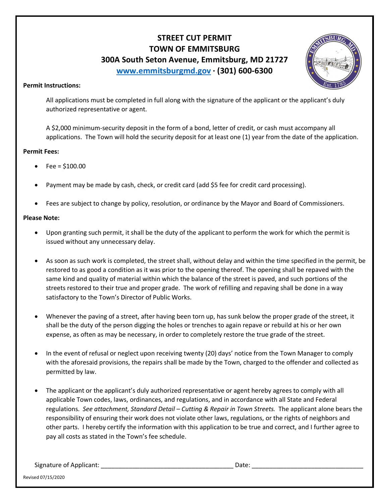# **STREET CUT PERMIT TOWN OF EMMITSBURG 300A South Seton Avenue, Emmitsburg, MD 21727 www.emmitsburgmd.gov · (301) 600-6300**



### **Permit Instructions:**

 All applications must be completed in full along with the signature of the applicant or the applicant's duly authorized representative or agent.

 A \$2,000 minimum-security deposit in the form of a bond, letter of credit, or cash must accompany all applications. The Town will hold the security deposit for at least one (1) year from the date of the application.

### **Permit Fees:**

- $Fee = $100.00$
- Payment may be made by cash, check, or credit card (add \$5 fee for credit card processing).
- Fees are subject to change by policy, resolution, or ordinance by the Mayor and Board of Commissioners.

### **Please Note:**

- Upon granting such permit, it shall be the duty of the applicant to perform the work for which the permit is issued without any unnecessary delay.
- As soon as such work is completed, the street shall, without delay and within the time specified in the permit, be restored to as good a condition as it was prior to the opening thereof. The opening shall be repaved with the same kind and quality of material within which the balance of the street is paved, and such portions of the streets restored to their true and proper grade. The work of refilling and repaving shall be done in a way satisfactory to the Town's Director of Public Works.
- Whenever the paving of a street, after having been torn up, has sunk below the proper grade of the street, it shall be the duty of the person digging the holes or trenches to again repave or rebuild at his or her own expense, as often as may be necessary, in order to completely restore the true grade of the street.
- In the event of refusal or neglect upon receiving twenty (20) days' notice from the Town Manager to comply with the aforesaid provisions, the repairs shall be made by the Town, charged to the offender and collected as permitted by law.
- The applicant or the applicant's duly authorized representative or agent hereby agrees to comply with all applicable Town codes, laws, ordinances, and regulations, and in accordance with all State and Federal regulations. *See attachment, Standard Detail – Cutting & Repair in Town Streets.* The applicant alone bears the responsibility of ensuring their work does not violate other laws, regulations, or the rights of neighbors and other parts. I hereby certify the information with this application to be true and correct, and I further agree to pay all costs as stated in the Town's fee schedule.

Signature of Applicant: \_\_\_\_\_\_\_\_\_\_\_\_\_\_\_\_\_\_\_\_\_\_\_\_\_\_\_\_\_\_\_\_\_\_\_\_\_\_ Date: \_\_\_\_\_\_\_\_\_\_\_\_\_\_\_\_\_\_\_\_\_\_\_\_\_\_\_\_\_\_\_\_

Revised 07/15/2020